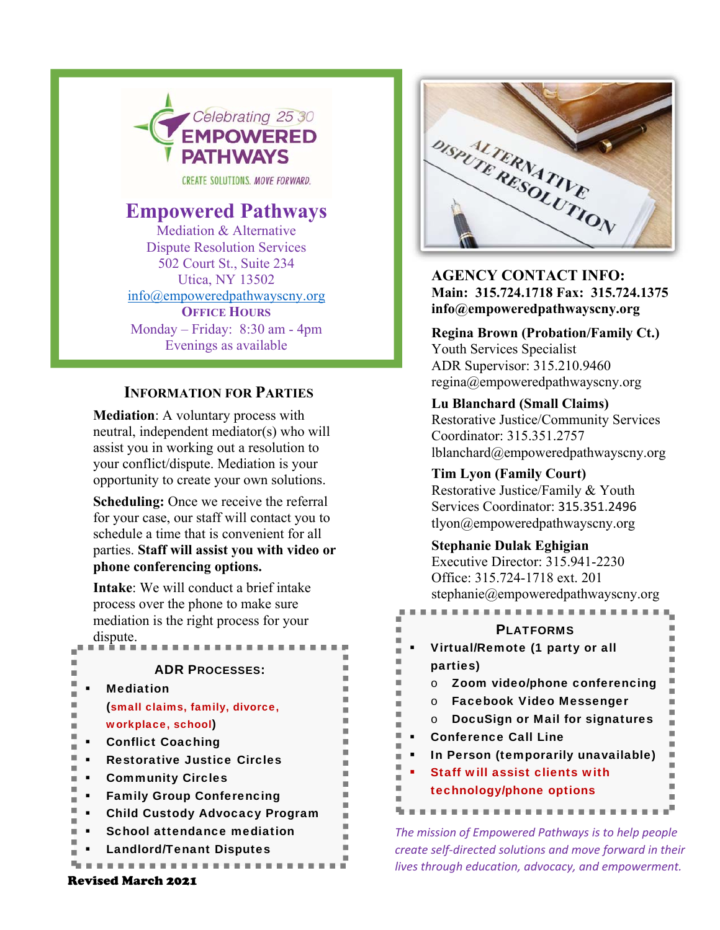

CREATE SOLUTIONS, MOVE FORWARD.

# **Empowered Pathways**

Mediation & Alternative Dispute Resolution Services 502 Court St., Suite 234 Utica, NY 13502 info@empoweredpathwayscny.org **OFFICE HOURS** Monday – Friday: 8:30 am - 4pm Evenings as available

## **INFORMATION FOR PARTIES**

**Mediation**: A voluntary process with neutral, independent mediator(s) who will assist you in working out a resolution to your conflict/dispute. Mediation is your opportunity to create your own solutions.

**Scheduling:** Once we receive the referral for your case, our staff will contact you to schedule a time that is convenient for all parties. **Staff will assist you with video or phone conferencing options.**

**Intake**: We will conduct a brief intake process over the phone to make sure mediation is the right process for your dispute. PLATFORMS

| <b>ADR PROCESSES:</b>                 |
|---------------------------------------|
| <b>Mediation</b>                      |
| (small claims, family, divorce,       |
| workplace, school)                    |
| <b>Conflict Coaching</b>              |
| <b>Restorative Justice Circles</b>    |
| <b>Community Circles</b>              |
| <b>Family Group Conferencing</b>      |
| <b>Child Custody Advocacy Program</b> |
| <b>School attendance mediation</b>    |
| <b>Landlord/Tenant Disputes</b>       |
|                                       |



**AGENCY CONTACT INFO: Main: 315.724.1718 Fax: 315.724.1375 info@empoweredpathwayscny.org** 

**Regina Brown (Probation/Family Ct.)** Youth Services Specialist ADR Supervisor: 315.210.9460 regina@empoweredpathwayscny.org

 lblanchard@empoweredpathwayscny.org **Lu Blanchard (Small Claims)**  Restorative Justice/Community Services Coordinator: 315.351.2757

> **Tim Lyon (Family Court)**  Restorative Justice/Family & Youth Services Coordinator: 315.351.2496 tlyon@empoweredpathwayscny.org

### **Stephanie Dulak Eghigian**

Executive Director: 315.941-2230 Office: 315.724-1718 ext. 201 stephanie@empoweredpathwayscny.org 

| <b>PI ATFORMS</b>                     |
|---------------------------------------|
| Virtual/Remote (1 party or all        |
| parties)                              |
| Zoom video/phone conferencing         |
| Facebook Video Messenger              |
| DocuSign or Mail for signatures       |
| <b>Conference Call Line</b>           |
| In Person (temporarily unavailable)   |
| <b>Staff will assist clients with</b> |
| technology/phone options              |
|                                       |

*The mission of Empowered Pathways is to help people create self‐directed solutions and move forward in their lives through education, advocacy, and empowerment.* 

#### Revised March 2021